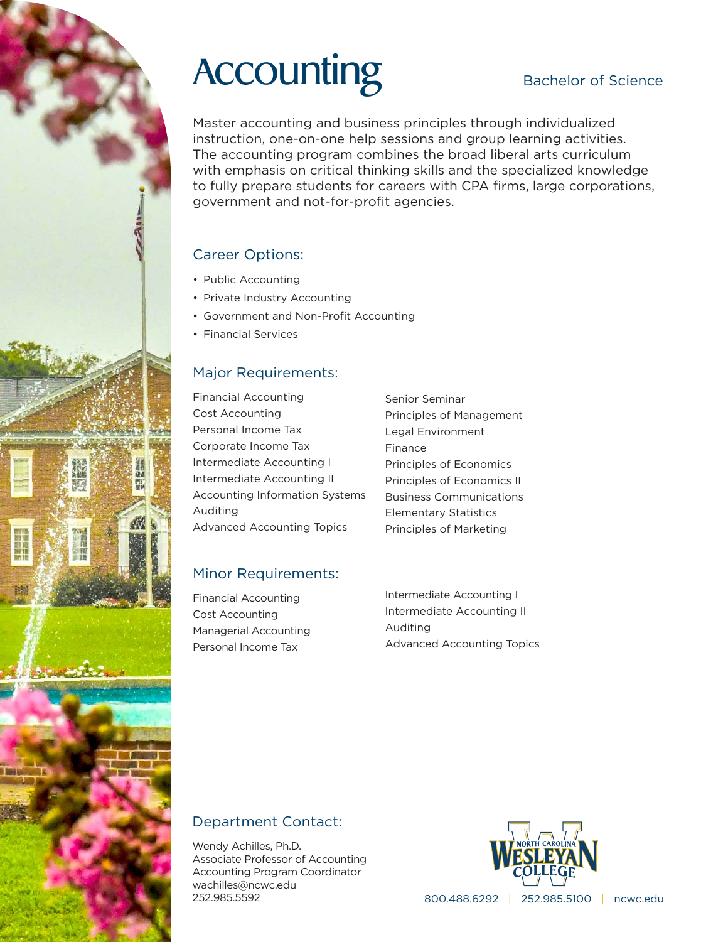# Accounting Bachelor of Science

Master accounting and business principles through individualized instruction, one-on-one help sessions and group learning activities. The accounting program combines the broad liberal arts curriculum with emphasis on critical thinking skills and the specialized knowledge to fully prepare students for careers with CPA firms, large corporations, government and not-for-profit agencies.

## Career Options:

- Public Accounting
- Private Industry Accounting
- Government and Non-Profit Accounting
- Financial Services

## Major Requirements:

Financial Accounting Cost Accounting Personal Income Tax Corporate Income Tax Intermediate Accounting I Intermediate Accounting II Accounting Information Systems Auditing Advanced Accounting Topics

Senior Seminar Principles of Management Legal Environment Finance Principles of Economics Principles of Economics II Business Communications Elementary Statistics Principles of Marketing

## Minor Requirements:

Financial Accounting Cost Accounting Managerial Accounting Personal Income Tax

Intermediate Accounting I Intermediate Accounting II Auditing Advanced Accounting Topics

## Department Contact:

Wendy Achilles, Ph.D. Associate Professor of Accounting Accounting Program Coordinator wachilles@ncwc.edu 252.985.5592 800.488.6292 | 252.985.5100 | ncwc.edu